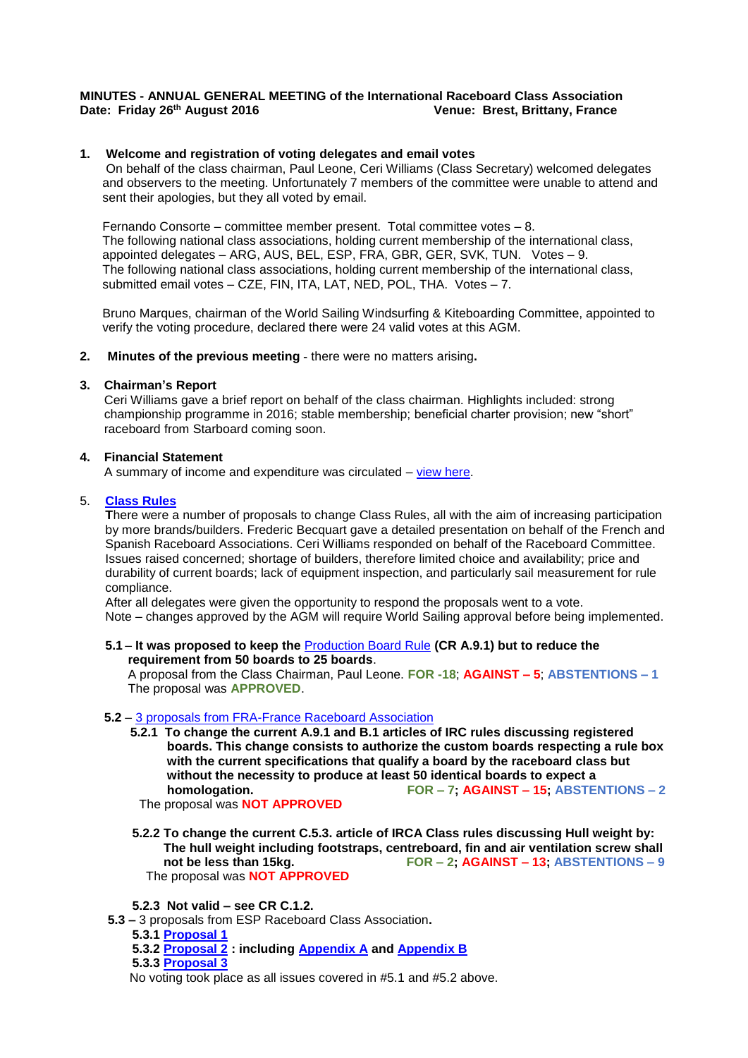## **MINUTES - ANNUAL GENERAL MEETING of the International Raceboard Class Association Date: Friday 26th August 2016 Venue: Brest, Brittany, France**

## **1. Welcome and registration of voting delegates and email votes**

On behalf of the class chairman, Paul Leone, Ceri Williams (Class Secretary) welcomed delegates and observers to the meeting. Unfortunately 7 members of the committee were unable to attend and sent their apologies, but they all voted by email.

Fernando Consorte – committee member present. Total committee votes – 8. The following national class associations, holding current membership of the international class, appointed delegates – ARG, AUS, BEL, ESP, FRA, GBR, GER, SVK, TUN. Votes – 9. The following national class associations, holding current membership of the international class, submitted email votes – CZE, FIN, ITA, LAT, NED, POL, THA. Votes – 7.

Bruno Marques, chairman of the World Sailing Windsurfing & Kiteboarding Committee, appointed to verify the voting procedure, declared there were 24 valid votes at this AGM.

#### **2. Minutes of the previous meeting -** there were no matters arising**.**

#### **3. Chairman's Report**

Ceri Williams gave a brief report on behalf of the class chairman. Highlights included: strong championship programme in 2016; stable membership; beneficial charter provision; new "short" raceboard from Starboard coming soon.

#### **4. Financial Statement**

A summary of income and expenditure was circulated – [view here.](http://internationalwindsurfing.com/userfiles/documents/2015_Management_acs_RB_class.pdf)

## 5. **[Class Rules](http://www.sailing.org/tools/documents/RAC2012CR201112-%5b13922%5d.pdf)**

**T**here were a number of proposals to change Class Rules, all with the aim of increasing participation by more brands/builders. Frederic Becquart gave a detailed presentation on behalf of the French and Spanish Raceboard Associations. Ceri Williams responded on behalf of the Raceboard Committee. Issues raised concerned; shortage of builders, therefore limited choice and availability; price and durability of current boards; lack of equipment inspection, and particularly sail measurement for rule compliance.

After all delegates were given the opportunity to respond the proposals went to a vote. Note – changes approved by the AGM will require World Sailing approval before being implemented.

### **5.1** – **It was proposed to keep the** [Production Board Rule](http://www.sailing.org/tools/documents/RaceboardFormulaRegInstructions2016-%5b20441%5d.pdf) **(CR A.9.1) but to reduce the requirement from 50 boards to 25 boards**.

A proposal from the Class Chairman, Paul Leone. **FOR -18**; **AGAINST – 5**; **ABSTENTIONS – 1** The proposal was **APPROVED**.

#### **5.2** – [3 proposals from FRA-France Raceboard Association](http://www.internationalwindsurfing.com/userfiles/documents/2016_RB_AGM_FRA_Proposals.pdf)

 **5.2.1 To change the current A.9.1 and B.1 articles of IRC rules discussing registered boards. This change consists to authorize the custom boards respecting a rule box with the current specifications that qualify a board by the raceboard class but without the necessity to produce at least 50 identical boards to expect a homologation. FOR – 7; AGAINST – 15; ABSTENTIONS – 2** The proposal was **NOT APPROVED**

 **5.2.2 To change the current C.5.3. article of IRCA Class rules discussing Hull weight by:**  The hull weight including footstraps, centreboard, fin and air ventilation screw shall<br>not be less than 15kg.<br> $FOR - 2$ ; AGAINST - 13; ABSTENTIONS - 9  **not be less than 15kg. FOR – 2; AGAINST – 13; ABSTENTIONS – 9** The proposal was **NOT APPROVED**

 **5.2.3 Not valid – see CR C.1.2.**

 **5.3 –** 3 proposals from ESP Raceboard Class Association**.**

- **5.3.1 [Proposal 1](http://www.internationalwindsurfing.com/userfiles/documents/2016_RB_AGM_ESP_Proposal_1.pdf)**
- **5.3.2 [Proposal 2](http://www.internationalwindsurfing.com/userfiles/documents/2016_RB_AGM_ESP_Proposal_2.pdf) : including [Appendix A](http://www.internationalwindsurfing.com/userfiles/documents/2016_RB_AGM_Proposal_2_Appendix_A.pdf) and [Appendix B](http://www.internationalwindsurfing.com/userfiles/documents/2016_RB_AGM_Proposal_2_Appendix_B.pdf)**

 **5.3.3 [Proposal 3](http://www.internationalwindsurfing.com/userfiles/documents/2016_RB_AGM_ESP_Proposal_3.pdf)**

No voting took place as all issues covered in #5.1 and #5.2 above.